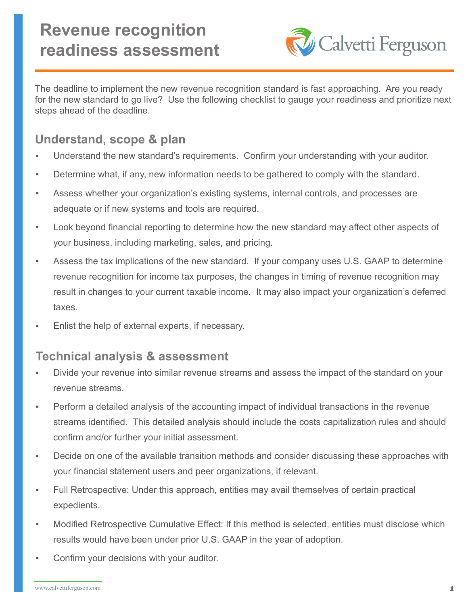

The deadline to implement the new revenue recognition standard is fast approaching. Are you ready for the new standard to go live? Use the following checklist to gauge your readiness and prioritize next steps ahead of the deadline.

# **Understand, scope & plan**

- Understand the new standard's requirements. Confirm your understanding with your auditor.
- Determine what, if any, new information needs to be gathered to comply with the standard.
- Assess whether your organization's existing systems, internal controls, and processes are adequate or if new systems and tools are required.
- Look beyond financial reporting to determine how the new standard may affect other aspects of your business, including marketing, sales, and pricing.
- Assess the tax implications of the new standard. If your company uses U.S. GAAP to determine revenue recognition for income tax purposes, the changes in timing of revenue recognition may result in changes to your current taxable income. It may also impact your organization's deferred taxes.
- Enlist the help of external experts, if necessary.

# **Technical analysis & assessment**

- Divide your revenue into similar revenue streams and assess the impact of the standard on your revenue streams.
- Perform a detailed analysis of the accounting impact of individual transactions in the revenue streams identified. This detailed analysis should include the costs capitalization rules and should confirm and/or further your initial assessment.
- Decide on one of the available transition methods and consider discussing these approaches with your financial statement users and peer organizations, if relevant.
- Full Retrospective: Under this approach, entities may avail themselves of certain practical expedients.
- Modified Retrospective Cumulative Effect: If this method is selected, entities must disclose which results would have been under prior U.S. GAAP in the year of adoption.
- Confirm your decisions with your auditor.